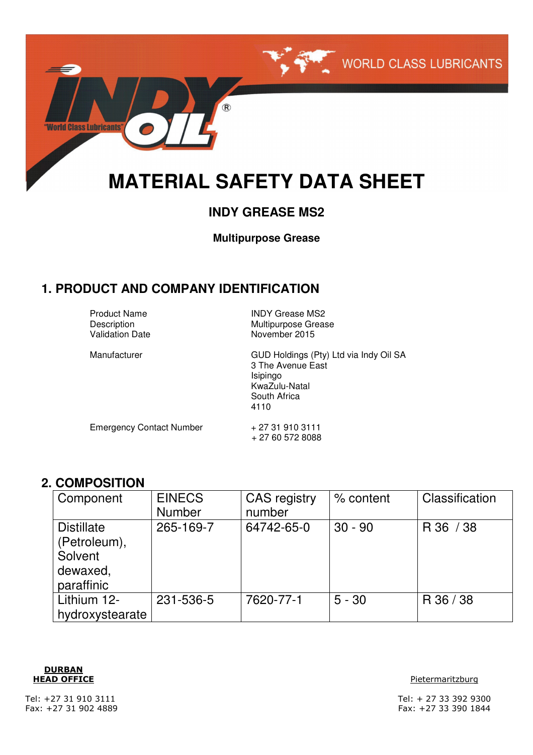

# **INDY GREASE MS2**

**Multipurpose Grease**

### **1. PRODUCT AND COMPANY IDENTIFICATION**

Product Name **INDY Grease MS2** 

Description Multipurpose Grease<br>
Validation Date Movember 2015 November 2015

Manufacturer **GUD Holdings (Pty) Ltd via Indy Oil SA** 3 The Avenue East Isipingo KwaZulu-Natal South Africa 4110

Emergency Contact Number + 27 31 910 3111

+ 27 60 572 8088

### **2. COMPOSITION**

| Component                                                              | <b>EINECS</b><br><b>Number</b> | <b>CAS</b> registry<br>number | % content | Classification |
|------------------------------------------------------------------------|--------------------------------|-------------------------------|-----------|----------------|
| <b>Distillate</b><br>(Petroleum),<br>Solvent<br>dewaxed,<br>paraffinic | 265-169-7                      | 64742-65-0                    | $30 - 90$ | R 36 / 38      |
| Lithium 12-<br>hydroxystearate                                         | 231-536-5                      | 7620-77-1                     | $5 - 30$  | R 36 / 38      |



#### **HEAD OFFICE** Pietermaritzburg **Pietermaritzburg**

Tel: +27 31 910 3111 Tel: + 27 33 392 9300 Fax: +27 31 902 4889 Fax: +27 33 390 1844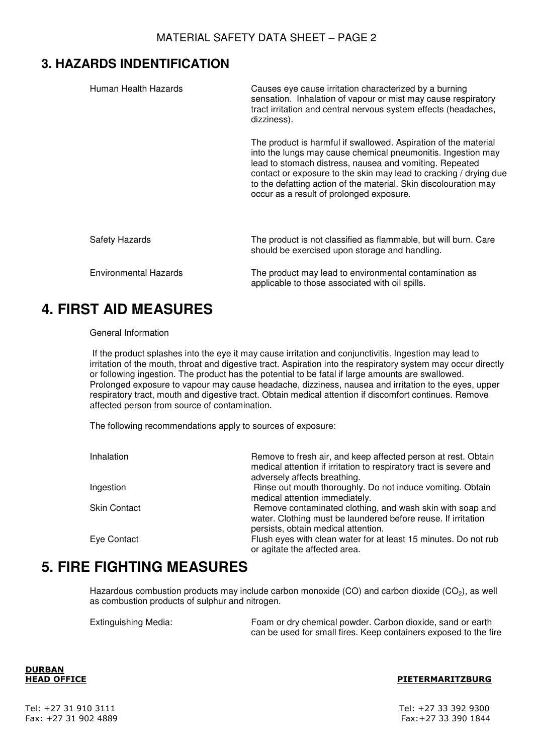### **3. HAZARDS INDENTIFICATION**

| Human Health Hazards  | Causes eye cause irritation characterized by a burning<br>sensation. Inhalation of vapour or mist may cause respiratory<br>tract irritation and central nervous system effects (headaches,<br>dizziness).                                                                                                                                                                       |
|-----------------------|---------------------------------------------------------------------------------------------------------------------------------------------------------------------------------------------------------------------------------------------------------------------------------------------------------------------------------------------------------------------------------|
|                       | The product is harmful if swallowed. Aspiration of the material<br>into the lungs may cause chemical pneumonitis. Ingestion may<br>lead to stomach distress, nausea and vomiting. Repeated<br>contact or exposure to the skin may lead to cracking / drying due<br>to the defatting action of the material. Skin discolouration may<br>occur as a result of prolonged exposure. |
| <b>Safety Hazards</b> | The product is not classified as flammable, but will burn. Care<br>should be exercised upon storage and handling.                                                                                                                                                                                                                                                               |
| Environmental Hazards | The product may lead to environmental contamination as<br>applicable to those associated with oil spills.                                                                                                                                                                                                                                                                       |

# **4. FIRST AID MEASURES**

### General Information

 If the product splashes into the eye it may cause irritation and conjunctivitis. Ingestion may lead to irritation of the mouth, throat and digestive tract. Aspiration into the respiratory system may occur directly or following ingestion. The product has the potential to be fatal if large amounts are swallowed. Prolonged exposure to vapour may cause headache, dizziness, nausea and irritation to the eyes, upper respiratory tract, mouth and digestive tract. Obtain medical attention if discomfort continues. Remove affected person from source of contamination.

The following recommendations apply to sources of exposure:

| Inhalation          | Remove to fresh air, and keep affected person at rest. Obtain<br>medical attention if irritation to respiratory tract is severe and<br>adversely affects breathing. |
|---------------------|---------------------------------------------------------------------------------------------------------------------------------------------------------------------|
| Ingestion           | Rinse out mouth thoroughly. Do not induce vomiting. Obtain<br>medical attention immediately.                                                                        |
| <b>Skin Contact</b> | Remove contaminated clothing, and wash skin with soap and<br>water. Clothing must be laundered before reuse. If irritation<br>persists, obtain medical attention.   |
| Eye Contact         | Flush eyes with clean water for at least 15 minutes. Do not rub<br>or agitate the affected area.                                                                    |

# **5. FIRE FIGHTING MEASURES**

Hazardous combustion products may include carbon monoxide (CO) and carbon dioxide (CO<sub>2</sub>), as well as combustion products of sulphur and nitrogen.

Extinguishing Media: Foam or dry chemical powder. Carbon dioxide, sand or earth can be used for small fires. Keep containers exposed to the fire

**DURBAN**

#### **HEAD OFFICE PIETERMARITZBURG**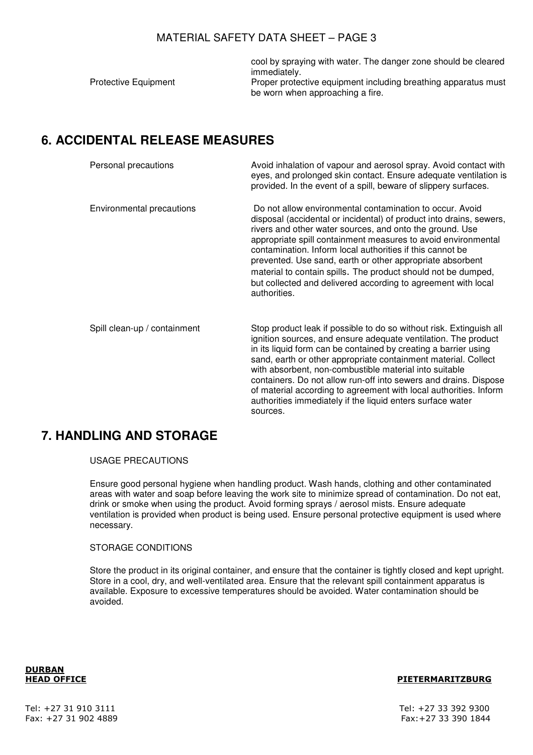cool by spraying with water. The danger zone should be cleared immediately.

Protective Equipment **Proper protective equipment including breathing apparatus must** be worn when approaching a fire.

# **6. ACCIDENTAL RELEASE MEASURES**

| Personal precautions         | Avoid inhalation of vapour and aerosol spray. Avoid contact with<br>eyes, and prolonged skin contact. Ensure adequate ventilation is<br>provided. In the event of a spill, beware of slippery surfaces.                                                                                                                                                                                                                                                                                                                                                 |
|------------------------------|---------------------------------------------------------------------------------------------------------------------------------------------------------------------------------------------------------------------------------------------------------------------------------------------------------------------------------------------------------------------------------------------------------------------------------------------------------------------------------------------------------------------------------------------------------|
| Environmental precautions    | Do not allow environmental contamination to occur. Avoid<br>disposal (accidental or incidental) of product into drains, sewers,<br>rivers and other water sources, and onto the ground. Use<br>appropriate spill containment measures to avoid environmental<br>contamination. Inform local authorities if this cannot be<br>prevented. Use sand, earth or other appropriate absorbent<br>material to contain spills. The product should not be dumped,<br>but collected and delivered according to agreement with local<br>authorities.                |
| Spill clean-up / containment | Stop product leak if possible to do so without risk. Extinguish all<br>ignition sources, and ensure adequate ventilation. The product<br>in its liquid form can be contained by creating a barrier using<br>sand, earth or other appropriate containment material. Collect<br>with absorbent, non-combustible material into suitable<br>containers. Do not allow run-off into sewers and drains. Dispose<br>of material according to agreement with local authorities. Inform<br>authorities immediately if the liquid enters surface water<br>sources. |

# **7. HANDLING AND STORAGE**

### USAGE PRECAUTIONS

Ensure good personal hygiene when handling product. Wash hands, clothing and other contaminated areas with water and soap before leaving the work site to minimize spread of contamination. Do not eat, drink or smoke when using the product. Avoid forming sprays / aerosol mists. Ensure adequate ventilation is provided when product is being used. Ensure personal protective equipment is used where necessary.

### STORAGE CONDITIONS

Store the product in its original container, and ensure that the container is tightly closed and kept upright. Store in a cool, dry, and well-ventilated area. Ensure that the relevant spill containment apparatus is available. Exposure to excessive temperatures should be avoided. Water contamination should be avoided.

**DURBAN**

### **HEAD OFFICE PIETERMARITZBURG**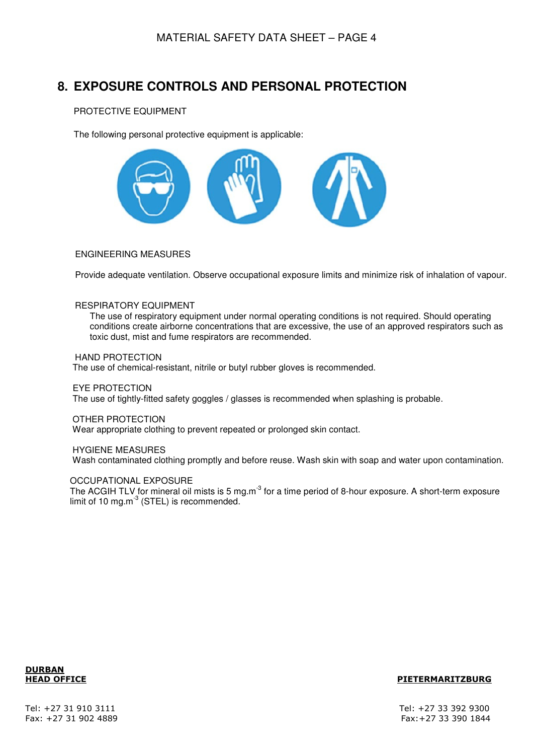# **8. EXPOSURE CONTROLS AND PERSONAL PROTECTION**

### PROTECTIVE EQUIPMENT

The following personal protective equipment is applicable:



### ENGINEERING MEASURES

Provide adequate ventilation. Observe occupational exposure limits and minimize risk of inhalation of vapour.

### RESPIRATORY EQUIPMENT

The use of respiratory equipment under normal operating conditions is not required. Should operating conditions create airborne concentrations that are excessive, the use of an approved respirators such as toxic dust, mist and fume respirators are recommended.

#### HAND PROTECTION

The use of chemical-resistant, nitrile or butyl rubber gloves is recommended.

#### EYE PROTECTION

The use of tightly-fitted safety goggles / glasses is recommended when splashing is probable.

#### OTHER PROTECTION

Wear appropriate clothing to prevent repeated or prolonged skin contact.

#### HYGIENE MEASURES

Wash contaminated clothing promptly and before reuse. Wash skin with soap and water upon contamination.

### OCCUPATIONAL EXPOSURE

The ACGIH TLV for mineral oil mists is 5 mg.m<sup>-3</sup> for a time period of 8-hour exposure. A short-term exposure limit of 10 mg.m $3$  (STEL) is recommended.



### **HEAD OFFICE PIETERMARITZBURG**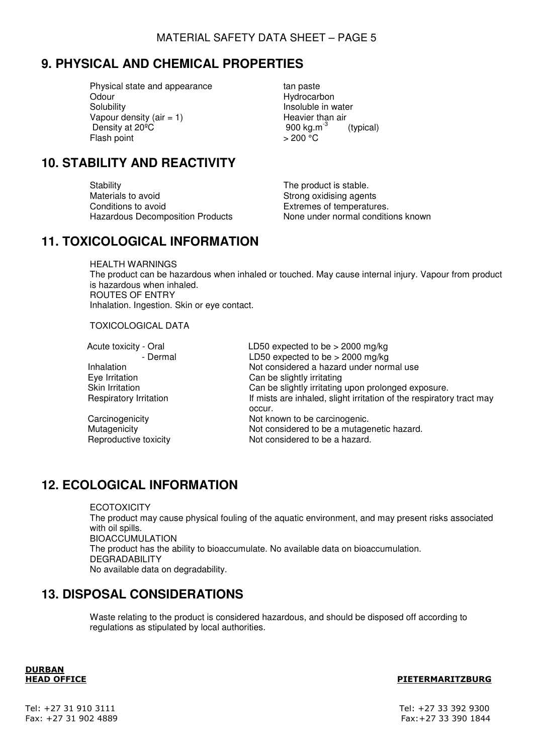# **9. PHYSICAL AND CHEMICAL PROPERTIES**

Physical state and appearance that the stan paste<br>Odour tan paste Odour Hydrocarbon<br>
Solubility Insoluble in w Vapour density (air = 1) Heavier than air<br>Density at 20<sup>o</sup>C Density at  $20^{\circ}$ C extended to the set of  $900 \text{ kg.m}^{-3}$  (typical) Flash point  $> 200 °C$ 

Insoluble in water

# **10. STABILITY AND REACTIVITY**

Stability Stability **The product is stable.** Materials to avoid<br>
Conditions to avoid<br>
Conditions to avoid<br>
Stremes of temperatur

Extremes of temperatures. Hazardous Decomposition Products None under normal conditions known

### **11. TOXICOLOGICAL INFORMATION**

HEALTH WARNINGS The product can be hazardous when inhaled or touched. May cause internal injury. Vapour from product is hazardous when inhaled. ROUTES OF ENTRY Inhalation. Ingestion. Skin or eye contact.

TOXICOLOGICAL DATA

Acute toxicity - Oral LD50 expected to be > 2000 mg/kg - Dermal LD50 expected to be > 2000 mg/kg Inhalation **Not considered a hazard under normal use** Eye Irritation **Can be slightly irritating**<br>
Skin Irritation Can be slightly irritating Skin Irritation Can be slightly irritating upon prolonged exposure.<br>
Respiratory Irritation **Figure 1** If mists are inhaled, slight irritation of the respirator If mists are inhaled, slight irritation of the respiratory tract may occur. Carcinogenicity **Not known to be carcinogenic.**<br>
Mutagenicity **Not considered to be a mutage** Mutagenicity<br>
Reproductive toxicity<br>
Not considered to be a hazard.<br>
Not considered to be a hazard. Not considered to be a hazard.

# **12. ECOLOGICAL INFORMATION**

**ECOTOXICITY** The product may cause physical fouling of the aquatic environment, and may present risks associated with oil spills. BIOACCUMULATION The product has the ability to bioaccumulate. No available data on bioaccumulation. DEGRADABILITY No available data on degradability.

# **13. DISPOSAL CONSIDERATIONS**

Waste relating to the product is considered hazardous, and should be disposed off according to regulations as stipulated by local authorities.

**DURBAN**

### **HEAD OFFICE PIETERMARITZBURG**